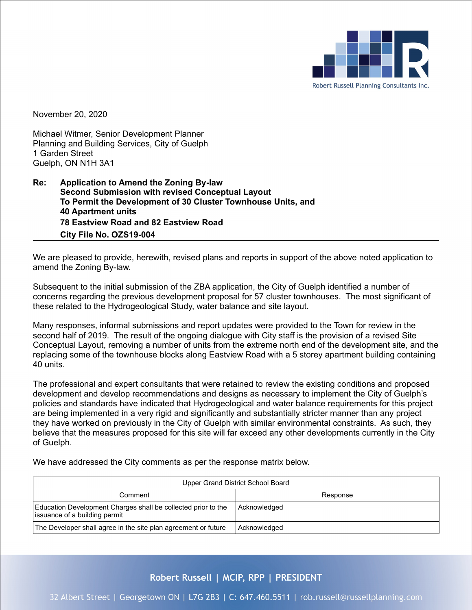

November 20, 2020

Michael Witmer, Senior Development Planner Planning and Building Services, City of Guelph 1 Garden Street Guelph, ON N1H 3A1

### **Re: Application to Amend the Zoning By-law Second Submission with revised Conceptual Layout To Permit the Development of 30 Cluster Townhouse Units, and 40 Apartment units 78 Eastview Road and 82 Eastview Road City File No. OZS19-004**

We are pleased to provide, herewith, revised plans and reports in support of the above noted application to amend the Zoning By-law.

Subsequent to the initial submission of the ZBA application, the City of Guelph identified a number of concerns regarding the previous development proposal for 57 cluster townhouses. The most significant of these related to the Hydrogeological Study, water balance and site layout.

Many responses, informal submissions and report updates were provided to the Town for review in the second half of 2019. The result of the ongoing dialogue with City staff is the provision of a revised Site Conceptual Layout, removing a number of units from the extreme north end of the development site, and the replacing some of the townhouse blocks along Eastview Road with a 5 storey apartment building containing 40 units.

The professional and expert consultants that were retained to review the existing conditions and proposed development and develop recommendations and designs as necessary to implement the City of Guelph's policies and standards have indicated that Hydrogeological and water balance requirements for this project are being implemented in a very rigid and significantly and substantially stricter manner than any project they have worked on previously in the City of Guelph with similar environmental constraints. As such, they believe that the measures proposed for this site will far exceed any other developments currently in the City of Guelph.

We have addressed the City comments as per the response matrix below.

| Upper Grand District School Board                                                              |              |  |
|------------------------------------------------------------------------------------------------|--------------|--|
| Comment                                                                                        | Response     |  |
| Education Development Charges shall be collected prior to the<br>issuance of a building permit | Acknowledged |  |
| The Developer shall agree in the site plan agreement or future                                 | Acknowledged |  |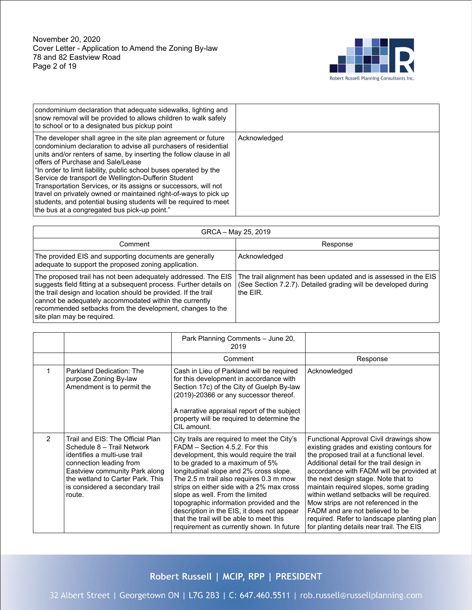

| condominium declaration that adequate sidewalks, lighting and<br>snow removal will be provided to allows children to walk safely<br>to school or to a designated bus pickup point                                                                                                                                                                                                                                                                                                                                                                                                                                                    |              |
|--------------------------------------------------------------------------------------------------------------------------------------------------------------------------------------------------------------------------------------------------------------------------------------------------------------------------------------------------------------------------------------------------------------------------------------------------------------------------------------------------------------------------------------------------------------------------------------------------------------------------------------|--------------|
| The developer shall agree in the site plan agreement or future<br>condominium declaration to advise all purchasers of residential<br>units and/or renters of same, by inserting the follow clause in all<br>offers of Purchase and Sale/Lease<br>"In order to limit liability, public school buses operated by the<br>Service de transport de Wellington-Dufferin Student<br>Transportation Services, or its assigns or successors, will not<br>travel on privately owned or maintained right-of-ways to pick up<br>students, and potential busing students will be required to meet<br>the bus at a congregated bus pick-up point." | Acknowledged |

| GRCA - May 25, 2019                                                                                                                                                                                                                                                                                                                                        |                                                                                                                                               |  |
|------------------------------------------------------------------------------------------------------------------------------------------------------------------------------------------------------------------------------------------------------------------------------------------------------------------------------------------------------------|-----------------------------------------------------------------------------------------------------------------------------------------------|--|
| Comment                                                                                                                                                                                                                                                                                                                                                    | Response                                                                                                                                      |  |
| The provided EIS and supporting documents are generally<br>adequate to support the proposed zoning application.                                                                                                                                                                                                                                            | Acknowledged                                                                                                                                  |  |
| The proposed trail has not been adequately addressed. The EIS<br>suggests field fitting at a subsequent process. Further details on<br>the trail design and location should be provided. If the trail<br>cannot be adequately accommodated within the currently<br>recommended setbacks from the development, changes to the<br>site plan may be required. | The trail alignment has been updated and is assessed in the EIS<br>(See Section 7.2.7). Detailed grading will be developed during<br>the EIR. |  |

|               |                                                                                                                                                                                                                                             | Park Planning Comments - June 20,<br>2019                                                                                                                                                                                                                                                                                                                                                                                                                                                                             |                                                                                                                                                                                                                                                                                                                                                                                                                                                                                                                               |
|---------------|---------------------------------------------------------------------------------------------------------------------------------------------------------------------------------------------------------------------------------------------|-----------------------------------------------------------------------------------------------------------------------------------------------------------------------------------------------------------------------------------------------------------------------------------------------------------------------------------------------------------------------------------------------------------------------------------------------------------------------------------------------------------------------|-------------------------------------------------------------------------------------------------------------------------------------------------------------------------------------------------------------------------------------------------------------------------------------------------------------------------------------------------------------------------------------------------------------------------------------------------------------------------------------------------------------------------------|
|               |                                                                                                                                                                                                                                             | Comment                                                                                                                                                                                                                                                                                                                                                                                                                                                                                                               | Response                                                                                                                                                                                                                                                                                                                                                                                                                                                                                                                      |
|               | Parkland Dedication: The<br>purpose Zoning By-law<br>Amendment is to permit the                                                                                                                                                             | Cash in Lieu of Parkland will be required<br>for this development in accordance with<br>Section 17c) of the City of Guelph By-law<br>(2019)-20366 or any successor thereof.<br>A narrative appraisal report of the subject<br>property will be required to determine the<br>CIL amount.                                                                                                                                                                                                                               | Acknowledged                                                                                                                                                                                                                                                                                                                                                                                                                                                                                                                  |
| $\mathcal{P}$ | Trail and EIS: The Official Plan<br>Schedule 8 - Trail Network<br>identifies a multi-use trail<br>connection leading from<br>Eastview community Park along<br>the wetland to Carter Park. This<br>is considered a secondary trail<br>route. | City trails are required to meet the City's<br>FADM - Section 4.5.2. For this<br>development, this would require the trail<br>to be graded to a maximum of 5%<br>longitudinal slope and 2% cross slope.<br>The 2.5 m trail also requires 0.3 m mow<br>strips on either side with a 2% max cross<br>slope as well. From the limited<br>topographic information provided and the<br>description in the EIS, it does not appear<br>that the trail will be able to meet this<br>requirement as currently shown. In future | Functional Approval Civil drawings show<br>existing grades and existing contours for<br>the proposed trail at a functional level.<br>Additional detail for the trail design in<br>accordance with FADM will be provided at<br>the next design stage. Note that to<br>maintain required slopes, some grading<br>within wetland setbacks will be required.<br>Mow strips are not referenced in the<br>FADM and are not believed to be<br>required. Refer to landscape planting plan<br>for planting details near trail. The EIS |

# Robert Russell | MCIP, RPP | PRESIDENT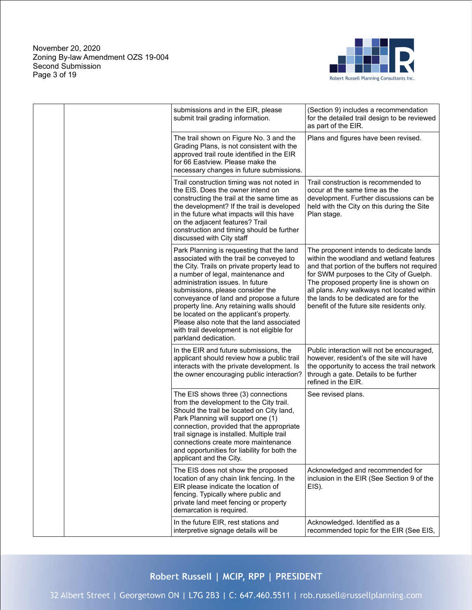November 20, 2020 Zoning By-law Amendment OZS 19-004 Second Submission Page 3 of 19



| submissions and in the EIR, please<br>submit trail grading information.                                                                                                                                                                                                                                                                                                                                                                                                                                   | (Section 9) includes a recommendation<br>for the detailed trail design to be reviewed<br>as part of the EIR.                                                                                                                                                                                                                                                  |
|-----------------------------------------------------------------------------------------------------------------------------------------------------------------------------------------------------------------------------------------------------------------------------------------------------------------------------------------------------------------------------------------------------------------------------------------------------------------------------------------------------------|---------------------------------------------------------------------------------------------------------------------------------------------------------------------------------------------------------------------------------------------------------------------------------------------------------------------------------------------------------------|
| The trail shown on Figure No. 3 and the<br>Grading Plans, is not consistent with the<br>approved trail route identified in the EIR<br>for 66 Eastview. Please make the<br>necessary changes in future submissions.                                                                                                                                                                                                                                                                                        | Plans and figures have been revised.                                                                                                                                                                                                                                                                                                                          |
| Trail construction timing was not noted in<br>the EIS. Does the owner intend on<br>constructing the trail at the same time as<br>the development? If the trail is developed<br>in the future what impacts will this have<br>on the adjacent features? Trail<br>construction and timing should be further<br>discussed with City staff                                                                                                                                                                     | Trail construction is recommended to<br>occur at the same time as the<br>development. Further discussions can be<br>held with the City on this during the Site<br>Plan stage.                                                                                                                                                                                 |
| Park Planning is requesting that the land<br>associated with the trail be conveyed to<br>the City. Trails on private property lead to<br>a number of legal, maintenance and<br>administration issues. In future<br>submissions, please consider the<br>conveyance of land and propose a future<br>property line. Any retaining walls should<br>be located on the applicant's property.<br>Please also note that the land associated<br>with trail development is not eligible for<br>parkland dedication. | The proponent intends to dedicate lands<br>within the woodland and wetland features<br>and that portion of the buffers not required<br>for SWM purposes to the City of Guelph.<br>The proposed property line is shown on<br>all plans. Any walkways not located within<br>the lands to be dedicated are for the<br>benefit of the future site residents only. |
| In the EIR and future submissions, the<br>applicant should review how a public trail<br>interacts with the private development. Is<br>the owner encouraging public interaction?                                                                                                                                                                                                                                                                                                                           | Public interaction will not be encouraged,<br>however, resident's of the site will have<br>the opportunity to access the trail network<br>through a gate. Details to be further<br>refined in the EIR.                                                                                                                                                        |
| The EIS shows three (3) connections<br>from the development to the City trail.<br>Should the trail be located on City land,<br>Park Planning will support one (1)<br>connection, provided that the appropriate<br>trail signage is installed. Multiple trail<br>connections create more maintenance<br>and opportunities for liability for both the<br>applicant and the City.                                                                                                                            | See revised plans.                                                                                                                                                                                                                                                                                                                                            |
| The EIS does not show the proposed<br>location of any chain link fencing. In the<br>EIR please indicate the location of<br>fencing. Typically where public and<br>private land meet fencing or property<br>demarcation is required.                                                                                                                                                                                                                                                                       | Acknowledged and recommended for<br>inclusion in the EIR (See Section 9 of the<br>EIS).                                                                                                                                                                                                                                                                       |
| In the future EIR, rest stations and<br>interpretive signage details will be                                                                                                                                                                                                                                                                                                                                                                                                                              | Acknowledged. Identified as a<br>recommended topic for the EIR (See EIS,                                                                                                                                                                                                                                                                                      |

Robert Russell | MCIP, RPP | PRESIDENT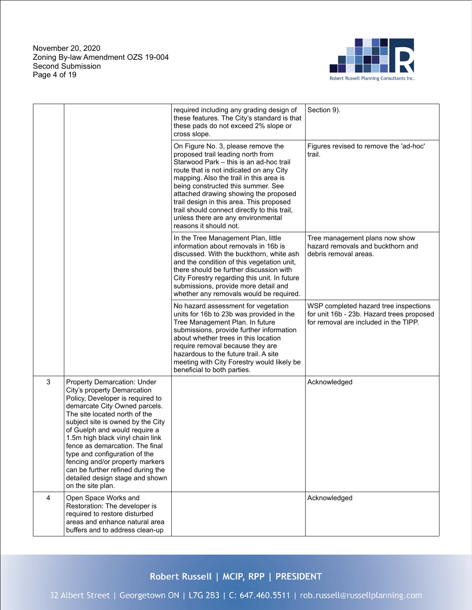November 20, 2020 Zoning By-law Amendment OZS 19-004 Second Submission Page 4 of 19



|                |                                                                                                                                                                                                                                                                                                                                                                                                                                                                                | required including any grading design of<br>these features. The City's standard is that<br>these pads do not exceed 2% slope or<br>cross slope.                                                                                                                                                                                                                                                                                                     | Section 9).                                                                                                                 |
|----------------|--------------------------------------------------------------------------------------------------------------------------------------------------------------------------------------------------------------------------------------------------------------------------------------------------------------------------------------------------------------------------------------------------------------------------------------------------------------------------------|-----------------------------------------------------------------------------------------------------------------------------------------------------------------------------------------------------------------------------------------------------------------------------------------------------------------------------------------------------------------------------------------------------------------------------------------------------|-----------------------------------------------------------------------------------------------------------------------------|
|                |                                                                                                                                                                                                                                                                                                                                                                                                                                                                                | On Figure No. 3, please remove the<br>proposed trail leading north from<br>Starwood Park - this is an ad-hoc trail<br>route that is not indicated on any City<br>mapping. Also the trail in this area is<br>being constructed this summer. See<br>attached drawing showing the proposed<br>trail design in this area. This proposed<br>trail should connect directly to this trail,<br>unless there are any environmental<br>reasons it should not. | Figures revised to remove the 'ad-hoc'<br>trail.                                                                            |
|                |                                                                                                                                                                                                                                                                                                                                                                                                                                                                                | In the Tree Management Plan, little<br>information about removals in 16b is<br>discussed. With the buckthorn, white ash<br>and the condition of this vegetation unit,<br>there should be further discussion with<br>City Forestry regarding this unit. In future<br>submissions, provide more detail and<br>whether any removals would be required.                                                                                                 | Tree management plans now show<br>hazard removals and buckthorn and<br>debris removal areas.                                |
|                |                                                                                                                                                                                                                                                                                                                                                                                                                                                                                | No hazard assessment for vegetation<br>units for 16b to 23b was provided in the<br>Tree Management Plan. In future<br>submissions, provide further information<br>about whether trees in this location<br>require removal because they are<br>hazardous to the future trail. A site<br>meeting with City Forestry would likely be<br>beneficial to both parties.                                                                                    | WSP completed hazard tree inspections<br>for unit 16b - 23b. Hazard trees proposed<br>for removal are included in the TIPP. |
| 3              | Property Demarcation: Under<br>City's property Demarcation<br>Policy, Developer is required to<br>demarcate City Owned parcels.<br>The site located north of the<br>subject site is owned by the City<br>of Guelph and would require a<br>1.5m high black vinyl chain link<br>fence as demarcation. The final<br>type and configuration of the<br>fencing and/or property markers<br>can be further refined during the<br>detailed design stage and shown<br>on the site plan. |                                                                                                                                                                                                                                                                                                                                                                                                                                                     | Acknowledged                                                                                                                |
| $\overline{4}$ | Open Space Works and<br>Restoration: The developer is<br>required to restore disturbed<br>areas and enhance natural area<br>buffers and to address clean-up                                                                                                                                                                                                                                                                                                                    |                                                                                                                                                                                                                                                                                                                                                                                                                                                     | Acknowledged                                                                                                                |

# Robert Russell | MCIP, RPP | PRESIDENT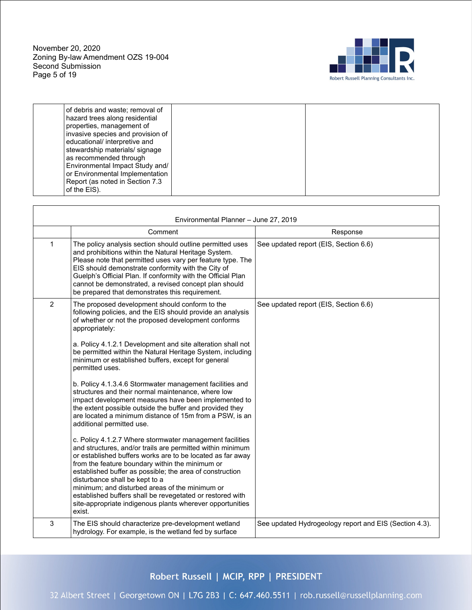November 20, 2020 Zoning By-law Amendment OZS 19-004 Second Submission Page 5 of 19



| of debris and waste; removal of<br>hazard trees along residential<br>properties, management of<br>invasive species and provision of<br>educational/ interpretive and              |  |
|-----------------------------------------------------------------------------------------------------------------------------------------------------------------------------------|--|
| stewardship materials/ signage<br>as recommended through<br>Environmental Impact Study and/<br>or Environmental Implementation<br>Report (as noted in Section 7.3<br>of the EIS). |  |

|              | Environmental Planner - June 27, 2019                                                                                                                                                                                                                                                                                                                                                                                                                                                                                                                                                                                                                                                                                                                                                                                                                                                                                                                                                                                                                                                                                                                                                                                                                    |                                                        |
|--------------|----------------------------------------------------------------------------------------------------------------------------------------------------------------------------------------------------------------------------------------------------------------------------------------------------------------------------------------------------------------------------------------------------------------------------------------------------------------------------------------------------------------------------------------------------------------------------------------------------------------------------------------------------------------------------------------------------------------------------------------------------------------------------------------------------------------------------------------------------------------------------------------------------------------------------------------------------------------------------------------------------------------------------------------------------------------------------------------------------------------------------------------------------------------------------------------------------------------------------------------------------------|--------------------------------------------------------|
|              | Comment                                                                                                                                                                                                                                                                                                                                                                                                                                                                                                                                                                                                                                                                                                                                                                                                                                                                                                                                                                                                                                                                                                                                                                                                                                                  | Response                                               |
| $\mathbf{1}$ | The policy analysis section should outline permitted uses<br>and prohibitions within the Natural Heritage System.<br>Please note that permitted uses vary per feature type. The<br>EIS should demonstrate conformity with the City of<br>Guelph's Official Plan. If conformity with the Official Plan<br>cannot be demonstrated, a revised concept plan should<br>be prepared that demonstrates this requirement.                                                                                                                                                                                                                                                                                                                                                                                                                                                                                                                                                                                                                                                                                                                                                                                                                                        | See updated report (EIS, Section 6.6)                  |
| 2            | The proposed development should conform to the<br>following policies, and the EIS should provide an analysis<br>of whether or not the proposed development conforms<br>appropriately:<br>a. Policy 4.1.2.1 Development and site alteration shall not<br>be permitted within the Natural Heritage System, including<br>minimum or established buffers, except for general<br>permitted uses.<br>b. Policy 4.1.3.4.6 Stormwater management facilities and<br>structures and their normal maintenance, where low<br>impact development measures have been implemented to<br>the extent possible outside the buffer and provided they<br>are located a minimum distance of 15m from a PSW, is an<br>additional permitted use.<br>c. Policy 4.1.2.7 Where stormwater management facilities<br>and structures, and/or trails are permitted within minimum<br>or established buffers works are to be located as far away<br>from the feature boundary within the minimum or<br>established buffer as possible; the area of construction<br>disturbance shall be kept to a<br>minimum; and disturbed areas of the minimum or<br>established buffers shall be revegetated or restored with<br>site-appropriate indigenous plants wherever opportunities<br>exist. | See updated report (EIS, Section 6.6)                  |
| 3            | The EIS should characterize pre-development wetland<br>hydrology. For example, is the wetland fed by surface                                                                                                                                                                                                                                                                                                                                                                                                                                                                                                                                                                                                                                                                                                                                                                                                                                                                                                                                                                                                                                                                                                                                             | See updated Hydrogeology report and EIS (Section 4.3). |
|              |                                                                                                                                                                                                                                                                                                                                                                                                                                                                                                                                                                                                                                                                                                                                                                                                                                                                                                                                                                                                                                                                                                                                                                                                                                                          |                                                        |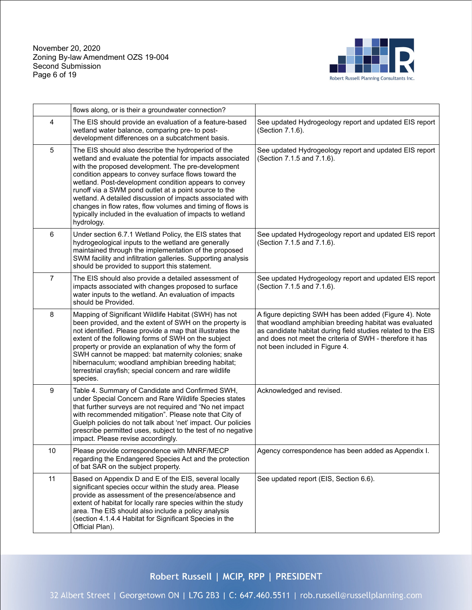November 20, 2020 Zoning By-law Amendment OZS 19-004 Second Submission Page 6 of 19



|                | flows along, or is their a groundwater connection?                                                                                                                                                                                                                                                                                                                                                                                                                                                                                                      |                                                                                                                                                                                                                                                                                |
|----------------|---------------------------------------------------------------------------------------------------------------------------------------------------------------------------------------------------------------------------------------------------------------------------------------------------------------------------------------------------------------------------------------------------------------------------------------------------------------------------------------------------------------------------------------------------------|--------------------------------------------------------------------------------------------------------------------------------------------------------------------------------------------------------------------------------------------------------------------------------|
| 4              | The EIS should provide an evaluation of a feature-based<br>wetland water balance, comparing pre- to post-<br>development differences on a subcatchment basis.                                                                                                                                                                                                                                                                                                                                                                                           | See updated Hydrogeology report and updated EIS report<br>(Section 7.1.6).                                                                                                                                                                                                     |
| $\sqrt{5}$     | The EIS should also describe the hydroperiod of the<br>wetland and evaluate the potential for impacts associated<br>with the proposed development. The pre-development<br>condition appears to convey surface flows toward the<br>wetland. Post-development condition appears to convey<br>runoff via a SWM pond outlet at a point source to the<br>wetland. A detailed discussion of impacts associated with<br>changes in flow rates, flow volumes and timing of flows is<br>typically included in the evaluation of impacts to wetland<br>hydrology. | See updated Hydrogeology report and updated EIS report<br>(Section 7.1.5 and 7.1.6).                                                                                                                                                                                           |
| 6              | Under section 6.7.1 Wetland Policy, the EIS states that<br>hydrogeological inputs to the wetland are generally<br>maintained through the implementation of the proposed<br>SWM facility and infiltration galleries. Supporting analysis<br>should be provided to support this statement.                                                                                                                                                                                                                                                                | See updated Hydrogeology report and updated EIS report<br>(Section 7.1.5 and 7.1.6).                                                                                                                                                                                           |
| $\overline{7}$ | The EIS should also provide a detailed assessment of<br>impacts associated with changes proposed to surface<br>water inputs to the wetland. An evaluation of impacts<br>should be Provided.                                                                                                                                                                                                                                                                                                                                                             | See updated Hydrogeology report and updated EIS report<br>(Section 7.1.5 and 7.1.6).                                                                                                                                                                                           |
| 8              | Mapping of Significant Wildlife Habitat (SWH) has not<br>been provided, and the extent of SWH on the property is<br>not identified. Please provide a map that illustrates the<br>extent of the following forms of SWH on the subject<br>property or provide an explanation of why the form of<br>SWH cannot be mapped: bat maternity colonies; snake<br>hibernaculum; woodland amphibian breeding habitat;<br>terrestrial crayfish; special concern and rare wildlife<br>species.                                                                       | A figure depicting SWH has been added (Figure 4). Note<br>that woodland amphibian breeding habitat was evaluated<br>as candidate habitat during field studies related to the EIS<br>and does not meet the criteria of SWH - therefore it has<br>not been included in Figure 4. |
| 9              | Table 4. Summary of Candidate and Confirmed SWH,<br>under Special Concern and Rare Wildlife Species states<br>that further surveys are not required and "No net impact<br>with recommended mitigation". Please note that City of<br>Guelph policies do not talk about 'net' impact. Our policies<br>prescribe permitted uses, subject to the test of no negative<br>impact. Please revise accordingly.                                                                                                                                                  | Acknowledged and revised.                                                                                                                                                                                                                                                      |
| 10             | Please provide correspondence with MNRF/MECP<br>regarding the Endangered Species Act and the protection<br>of bat SAR on the subject property.                                                                                                                                                                                                                                                                                                                                                                                                          | Agency correspondence has been added as Appendix I.                                                                                                                                                                                                                            |
| 11             | Based on Appendix D and E of the EIS, several locally<br>significant species occur within the study area. Please<br>provide as assessment of the presence/absence and<br>extent of habitat for locally rare species within the study<br>area. The EIS should also include a policy analysis<br>(section 4.1.4.4 Habitat for Significant Species in the<br>Official Plan).                                                                                                                                                                               | See updated report (EIS, Section 6.6).                                                                                                                                                                                                                                         |

Robert Russell | MCIP, RPP | PRESIDENT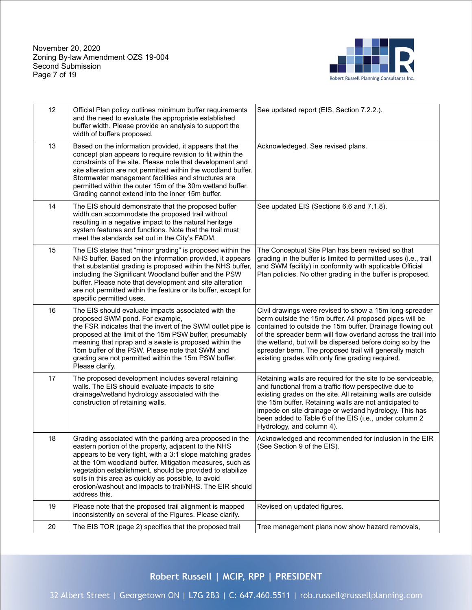November 20, 2020 Zoning By-law Amendment OZS 19-004 Second Submission Page 7 of 19



| 12 | Official Plan policy outlines minimum buffer requirements<br>and the need to evaluate the appropriate established<br>buffer width. Please provide an analysis to support the<br>width of buffers proposed.                                                                                                                                                                                                                                  | See updated report (EIS, Section 7.2.2.).                                                                                                                                                                                                                                                                                                                                                                                   |
|----|---------------------------------------------------------------------------------------------------------------------------------------------------------------------------------------------------------------------------------------------------------------------------------------------------------------------------------------------------------------------------------------------------------------------------------------------|-----------------------------------------------------------------------------------------------------------------------------------------------------------------------------------------------------------------------------------------------------------------------------------------------------------------------------------------------------------------------------------------------------------------------------|
| 13 | Based on the information provided, it appears that the<br>concept plan appears to require revision to fit within the<br>constraints of the site. Please note that development and<br>site alteration are not permitted within the woodland buffer.<br>Stormwater management facilities and structures are<br>permitted within the outer 15m of the 30m wetland buffer.<br>Grading cannot extend into the inner 15m buffer.                  | Acknowledeged. See revised plans.                                                                                                                                                                                                                                                                                                                                                                                           |
| 14 | The EIS should demonstrate that the proposed buffer<br>width can accommodate the proposed trail without<br>resulting in a negative impact to the natural heritage<br>system features and functions. Note that the trail must<br>meet the standards set out in the City's FADM.                                                                                                                                                              | See updated EIS (Sections 6.6 and 7.1.8).                                                                                                                                                                                                                                                                                                                                                                                   |
| 15 | The EIS states that "minor grading" is proposed within the<br>NHS buffer. Based on the information provided, it appears<br>that substantial grading is proposed within the NHS buffer,<br>including the Significant Woodland buffer and the PSW<br>buffer. Please note that development and site alteration<br>are not permitted within the feature or its buffer, except for<br>specific permitted uses.                                   | The Conceptual Site Plan has been revised so that<br>grading in the buffer is limited to permitted uses (i.e., trail<br>and SWM facility) in conformity with applicable Official<br>Plan policies. No other grading in the buffer is proposed.                                                                                                                                                                              |
| 16 | The EIS should evaluate impacts associated with the<br>proposed SWM pond. For example,<br>the FSR indicates that the invert of the SWM outlet pipe is<br>proposed at the limit of the 15m PSW buffer, presumably<br>meaning that riprap and a swale is proposed within the<br>15m buffer of the PSW. Please note that SWM and<br>grading are not permitted within the 15m PSW buffer.<br>Please clarify.                                    | Civil drawings were revised to show a 15m long spreader<br>berm outside the 15m buffer. All proposed pipes will be<br>contained to outside the 15m buffer. Drainage flowing out<br>of the spreader berm will flow overland across the trail into<br>the wetland, but will be dispersed before doing so by the<br>spreader berm. The proposed trail will generally match<br>existing grades with only fine grading required. |
| 17 | The proposed development includes several retaining<br>walls. The EIS should evaluate impacts to site<br>drainage/wetland hydrology associated with the<br>construction of retaining walls.                                                                                                                                                                                                                                                 | Retaining walls are required for the site to be serviceable,<br>and functional from a traffic flow perspective due to<br>existing grades on the site. All retaining walls are outside<br>the 15m buffer. Retaining walls are not anticipated to<br>impede on site drainage or wetland hydrology. This has<br>been added to Table 6 of the EIS (i.e., under column 2<br>Hydrology, and column 4).                            |
| 18 | Grading associated with the parking area proposed in the<br>eastern portion of the property, adjacent to the NHS<br>appears to be very tight, with a 3:1 slope matching grades<br>at the 10m woodland buffer. Mitigation measures, such as<br>vegetation establishment, should be provided to stabilize<br>soils in this area as quickly as possible, to avoid<br>erosion/washout and impacts to trail/NHS. The EIR should<br>address this. | Acknowledged and recommended for inclusion in the EIR<br>(See Section 9 of the EIS).                                                                                                                                                                                                                                                                                                                                        |
| 19 | Please note that the proposed trail alignment is mapped<br>inconsistently on several of the Figures. Please clarify.                                                                                                                                                                                                                                                                                                                        | Revised on updated figures.                                                                                                                                                                                                                                                                                                                                                                                                 |
| 20 | The EIS TOR (page 2) specifies that the proposed trail                                                                                                                                                                                                                                                                                                                                                                                      | Tree management plans now show hazard removals,                                                                                                                                                                                                                                                                                                                                                                             |

Robert Russell | MCIP, RPP | PRESIDENT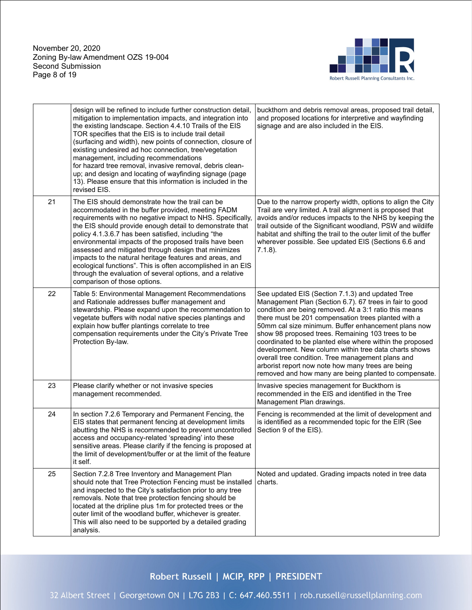November 20, 2020 Zoning By-law Amendment OZS 19-004 Second Submission Page 8 of 19



|    | design will be refined to include further construction detail,<br>mitigation to implementation impacts, and integration into<br>the existing landscape. Section 4.4.10 Trails of the EIS<br>TOR specifies that the EIS is to include trail detail<br>(surfacing and width), new points of connection, closure of<br>existing undesired ad hoc connection, tree/vegetation<br>management, including recommendations<br>for hazard tree removal, invasive removal, debris clean-<br>up; and design and locating of wayfinding signage (page<br>13). Please ensure that this information is included in the<br>revised EIS.       | buckthorn and debris removal areas, proposed trail detail,<br>and proposed locations for interpretive and wayfinding<br>signage and are also included in the EIS.                                                                                                                                                                                                                                                                                                                                                                                                                                                                |
|----|--------------------------------------------------------------------------------------------------------------------------------------------------------------------------------------------------------------------------------------------------------------------------------------------------------------------------------------------------------------------------------------------------------------------------------------------------------------------------------------------------------------------------------------------------------------------------------------------------------------------------------|----------------------------------------------------------------------------------------------------------------------------------------------------------------------------------------------------------------------------------------------------------------------------------------------------------------------------------------------------------------------------------------------------------------------------------------------------------------------------------------------------------------------------------------------------------------------------------------------------------------------------------|
| 21 | The EIS should demonstrate how the trail can be<br>accommodated in the buffer provided, meeting FADM<br>requirements with no negative impact to NHS. Specifically,<br>the EIS should provide enough detail to demonstrate that<br>policy 4.1.3.6.7 has been satisfied, including "the<br>environmental impacts of the proposed trails have been<br>assessed and mitigated through design that minimizes<br>impacts to the natural heritage features and areas, and<br>ecological functions". This is often accomplished in an EIS<br>through the evaluation of several options, and a relative<br>comparison of those options. | Due to the narrow property width, options to align the City<br>Trail are very limited. A trail alignment is proposed that<br>avoids and/or reduces impacts to the NHS by keeping the<br>trail outside of the Significant woodland, PSW and wildilfe<br>habitat and shifting the trail to the outer limit of the buffer<br>wherever possible. See updated EIS (Sections 6.6 and<br>$7.1.8$ ).                                                                                                                                                                                                                                     |
| 22 | Table 5: Environmental Management Recommendations<br>and Rationale addresses buffer management and<br>stewardship. Please expand upon the recommendation to<br>vegetate buffers with nodal native species plantings and<br>explain how buffer plantings correlate to tree<br>compensation requirements under the City's Private Tree<br>Protection By-law.                                                                                                                                                                                                                                                                     | See updated EIS (Section 7.1.3) and updated Tree<br>Management Plan (Section 6.7). 67 trees in fair to good<br>condition are being removed. At a 3:1 ratio this means<br>there must be 201 compensation trees planted with a<br>50mm cal size minimum. Buffer enhancement plans now<br>show 98 proposed trees. Remaining 103 trees to be<br>coordinated to be planted else where within the proposed<br>development. New column within tree data charts shows<br>overall tree condition. Tree management plans and<br>arborist report now note how many trees are being<br>removed and how many are being planted to compensate. |
| 23 | Please clarify whether or not invasive species<br>management recommended.                                                                                                                                                                                                                                                                                                                                                                                                                                                                                                                                                      | Invasive species management for Buckthorn is<br>recommended in the EIS and identified in the Tree<br>Management Plan drawings.                                                                                                                                                                                                                                                                                                                                                                                                                                                                                                   |
| 24 | In section 7.2.6 Temporary and Permanent Fencing, the<br>EIS states that permanent fencing at development limits<br>abutting the NHS is recommended to prevent uncontrolled<br>access and occupancy-related 'spreading' into these<br>sensitive areas. Please clarify if the fencing is proposed at<br>the limit of development/buffer or at the limit of the feature<br>it self.                                                                                                                                                                                                                                              | Fencing is recommended at the limit of development and<br>is identified as a recommended topic for the EIR (See<br>Section 9 of the EIS).                                                                                                                                                                                                                                                                                                                                                                                                                                                                                        |
| 25 | Section 7.2.8 Tree Inventory and Management Plan<br>should note that Tree Protection Fencing must be installed<br>and inspected to the City's satisfaction prior to any tree<br>removals. Note that tree protection fencing should be<br>located at the dripline plus 1m for protected trees or the<br>outer limit of the woodland buffer, whichever is greater.<br>This will also need to be supported by a detailed grading<br>analysis.                                                                                                                                                                                     | Noted and updated. Grading impacts noted in tree data<br>charts.                                                                                                                                                                                                                                                                                                                                                                                                                                                                                                                                                                 |

Robert Russell | MCIP, RPP | PRESIDENT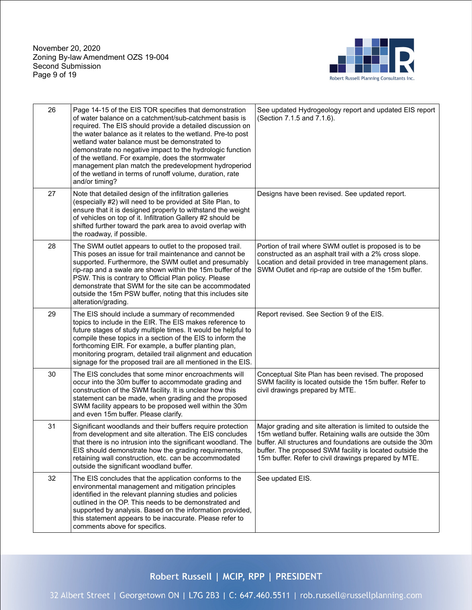November 20, 2020 Zoning By-law Amendment OZS 19-004 Second Submission Page 9 of 19



| 26 | Page 14-15 of the EIS TOR specifies that demonstration<br>of water balance on a catchment/sub-catchment basis is<br>required. The EIS should provide a detailed discussion on<br>the water balance as it relates to the wetland. Pre-to post<br>wetland water balance must be demonstrated to<br>demonstrate no negative impact to the hydrologic function<br>of the wetland. For example, does the stormwater<br>management plan match the predevelopment hydroperiod<br>of the wetland in terms of runoff volume, duration, rate<br>and/or timing? | See updated Hydrogeology report and updated EIS report<br>(Section 7.1.5 and 7.1.6).                                                                                                                                                                                                                     |
|----|------------------------------------------------------------------------------------------------------------------------------------------------------------------------------------------------------------------------------------------------------------------------------------------------------------------------------------------------------------------------------------------------------------------------------------------------------------------------------------------------------------------------------------------------------|----------------------------------------------------------------------------------------------------------------------------------------------------------------------------------------------------------------------------------------------------------------------------------------------------------|
| 27 | Note that detailed design of the infiltration galleries<br>(especially #2) will need to be provided at Site Plan, to<br>ensure that it is designed properly to withstand the weight<br>of vehicles on top of it. Infiltration Gallery #2 should be<br>shifted further toward the park area to avoid overlap with<br>the roadway, if possible.                                                                                                                                                                                                        | Designs have been revised. See updated report.                                                                                                                                                                                                                                                           |
| 28 | The SWM outlet appears to outlet to the proposed trail.<br>This poses an issue for trail maintenance and cannot be<br>supported. Furthermore, the SWM outlet and presumably<br>rip-rap and a swale are shown within the 15m buffer of the<br>PSW. This is contrary to Official Plan policy. Please<br>demonstrate that SWM for the site can be accommodated<br>outside the 15m PSW buffer, noting that this includes site<br>alteration/grading.                                                                                                     | Portion of trail where SWM outlet is proposed is to be<br>constructed as an asphalt trail with a 2% cross slope.<br>Location and detail provided in tree management plans.<br>SWM Outlet and rip-rap are outside of the 15m buffer.                                                                      |
| 29 | The EIS should include a summary of recommended<br>topics to include in the EIR. The EIS makes reference to<br>future stages of study multiple times. It would be helpful to<br>compile these topics in a section of the EIS to inform the<br>forthcoming EIR. For example, a buffer planting plan,<br>monitoring program, detailed trail alignment and education<br>signage for the proposed trail are all mentioned in the EIS.                                                                                                                    | Report revised. See Section 9 of the EIS.                                                                                                                                                                                                                                                                |
| 30 | The EIS concludes that some minor encroachments will<br>occur into the 30m buffer to accommodate grading and<br>construction of the SWM facility. It is unclear how this<br>statement can be made, when grading and the proposed<br>SWM facility appears to be proposed well within the 30m<br>and even 15m buffer. Please clarify.                                                                                                                                                                                                                  | Conceptual Site Plan has been revised. The proposed<br>SWM facility is located outside the 15m buffer. Refer to<br>civil drawings prepared by MTE.                                                                                                                                                       |
| 31 | Significant woodlands and their buffers require protection<br>from development and site alteration. The EIS concludes<br>that there is no intrusion into the significant woodland. The<br>EIS should demonstrate how the grading requirements,<br>retaining wall construction, etc. can be accommodated<br>outside the significant woodland buffer.                                                                                                                                                                                                  | Major grading and site alteration is limited to outside the<br>15m wetland buffer. Retaining walls are outside the 30m<br>buffer. All structures and foundations are outside the 30m<br>buffer. The proposed SWM facility is located outside the<br>15m buffer. Refer to civil drawings prepared by MTE. |
| 32 | The EIS concludes that the application conforms to the<br>environmental management and mitigation principles<br>identified in the relevant planning studies and policies<br>outlined in the OP. This needs to be demonstrated and<br>supported by analysis. Based on the information provided,<br>this statement appears to be inaccurate. Please refer to<br>comments above for specifics.                                                                                                                                                          | See updated EIS.                                                                                                                                                                                                                                                                                         |

Robert Russell | MCIP, RPP | PRESIDENT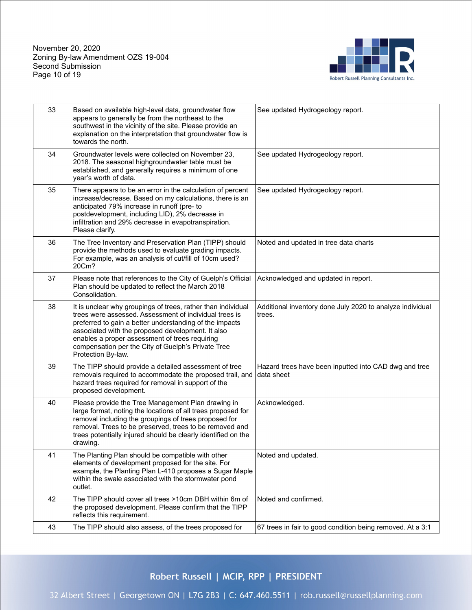November 20, 2020 Zoning By-law Amendment OZS 19-004 Second Submission Page 10 of 19



| 33 | Based on available high-level data, groundwater flow<br>appears to generally be from the northeast to the<br>southwest in the vicinity of the site. Please provide an<br>explanation on the interpretation that groundwater flow is<br>towards the north.                                                                                                            | See updated Hydrogeology report.                                    |
|----|----------------------------------------------------------------------------------------------------------------------------------------------------------------------------------------------------------------------------------------------------------------------------------------------------------------------------------------------------------------------|---------------------------------------------------------------------|
| 34 | Groundwater levels were collected on November 23,<br>2018. The seasonal highgroundwater table must be<br>established, and generally requires a minimum of one<br>year's worth of data.                                                                                                                                                                               | See updated Hydrogeology report.                                    |
| 35 | There appears to be an error in the calculation of percent<br>increase/decrease. Based on my calculations, there is an<br>anticipated 79% increase in runoff (pre- to<br>postdevelopment, including LID), 2% decrease in<br>infiltration and 29% decrease in evapotranspiration.<br>Please clarify.                                                                  | See updated Hydrogeology report.                                    |
| 36 | The Tree Inventory and Preservation Plan (TIPP) should<br>provide the methods used to evaluate grading impacts.<br>For example, was an analysis of cut/fill of 10cm used?<br>20Cm?                                                                                                                                                                                   | Noted and updated in tree data charts                               |
| 37 | Please note that references to the City of Guelph's Official<br>Plan should be updated to reflect the March 2018<br>Consolidation.                                                                                                                                                                                                                                   | Acknowledged and updated in report.                                 |
| 38 | It is unclear why groupings of trees, rather than individual<br>trees were assessed. Assessment of individual trees is<br>preferred to gain a better understanding of the impacts<br>associated with the proposed development. It also<br>enables a proper assessment of trees requiring<br>compensation per the City of Guelph's Private Tree<br>Protection By-law. | Additional inventory done July 2020 to analyze individual<br>trees. |
| 39 | The TIPP should provide a detailed assessment of tree<br>removals required to accommodate the proposed trail, and<br>hazard trees required for removal in support of the<br>proposed development.                                                                                                                                                                    | Hazard trees have been inputted into CAD dwg and tree<br>data sheet |
| 40 | Please provide the Tree Management Plan drawing in<br>large format, noting the locations of all trees proposed for<br>removal including the groupings of trees proposed for<br>removal. Trees to be preserved, trees to be removed and<br>trees potentially injured should be clearly identified on the<br>drawing.                                                  | Acknowledged.                                                       |
| 41 | The Planting Plan should be compatible with other<br>elements of development proposed for the site. For<br>example, the Planting Plan L-410 proposes a Sugar Maple<br>within the swale associated with the stormwater pond<br>outlet.                                                                                                                                | Noted and updated.                                                  |
| 42 | The TIPP should cover all trees >10cm DBH within 6m of<br>the proposed development. Please confirm that the TIPP<br>reflects this requirement.                                                                                                                                                                                                                       | Noted and confirmed.                                                |
| 43 | The TIPP should also assess, of the trees proposed for                                                                                                                                                                                                                                                                                                               | 67 trees in fair to good condition being removed. At a 3:1          |

Robert Russell | MCIP, RPP | PRESIDENT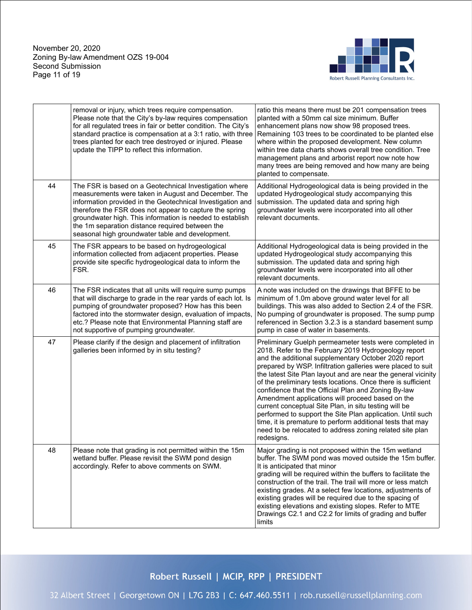

|    | removal or injury, which trees require compensation.<br>Please note that the City's by-law requires compensation<br>for all regulated trees in fair or better condition. The City's<br>standard practice is compensation at a 3:1 ratio, with three<br>trees planted for each tree destroyed or injured. Please<br>update the TIPP to reflect this information.                                            | ratio this means there must be 201 compensation trees<br>planted with a 50mm cal size minimum. Buffer<br>enhancement plans now show 98 proposed trees.<br>Remaining 103 trees to be coordinated to be planted else<br>where within the proposed development. New column<br>within tree data charts shows overall tree condition. Tree<br>management plans and arborist report now note how<br>many trees are being removed and how many are being<br>planted to compensate.                                                                                                                                                                                                                                                                      |
|----|------------------------------------------------------------------------------------------------------------------------------------------------------------------------------------------------------------------------------------------------------------------------------------------------------------------------------------------------------------------------------------------------------------|--------------------------------------------------------------------------------------------------------------------------------------------------------------------------------------------------------------------------------------------------------------------------------------------------------------------------------------------------------------------------------------------------------------------------------------------------------------------------------------------------------------------------------------------------------------------------------------------------------------------------------------------------------------------------------------------------------------------------------------------------|
| 44 | The FSR is based on a Geotechnical Investigation where<br>measurements were taken in August and December. The<br>information provided in the Geotechnical Investigation and<br>therefore the FSR does not appear to capture the spring<br>groundwater high. This information is needed to establish<br>the 1m separation distance required between the<br>seasonal high groundwater table and development. | Additional Hydrogeological data is being provided in the<br>updated Hydrogeological study accompanying this<br>submission. The updated data and spring high<br>groundwater levels were incorporated into all other<br>relevant documents.                                                                                                                                                                                                                                                                                                                                                                                                                                                                                                        |
| 45 | The FSR appears to be based on hydrogeological<br>information collected from adjacent properties. Please<br>provide site specific hydrogeological data to inform the<br>FSR.                                                                                                                                                                                                                               | Additional Hydrogeological data is being provided in the<br>updated Hydrogeological study accompanying this<br>submission. The updated data and spring high<br>groundwater levels were incorporated into all other<br>relevant documents.                                                                                                                                                                                                                                                                                                                                                                                                                                                                                                        |
| 46 | The FSR indicates that all units will require sump pumps<br>that will discharge to grade in the rear yards of each lot. Is<br>pumping of groundwater proposed? How has this been<br>factored into the stormwater design, evaluation of impacts,<br>etc.? Please note that Environmental Planning staff are<br>not supportive of pumping groundwater.                                                       | A note was included on the drawings that BFFE to be<br>minimum of 1.0m above ground water level for all<br>buildings. This was also added to Section 2.4 of the FSR.<br>No pumping of groundwater is proposed. The sump pump<br>referenced in Section 3.2.3 is a standard basement sump<br>pump in case of water in basements.                                                                                                                                                                                                                                                                                                                                                                                                                   |
| 47 | Please clarify if the design and placement of infiltration<br>galleries been informed by in situ testing?                                                                                                                                                                                                                                                                                                  | Preliminary Guelph permeameter tests were completed in<br>2018. Refer to the February 2019 Hydrogeology report<br>and the additional supplementary October 2020 report<br>prepared by WSP. Infiltration galleries were placed to suit<br>the latest Site Plan layout and are near the general vicinity<br>of the preliminary tests locations. Once there is sufficient<br>confidence that the Official Plan and Zoning By-law<br>Amendment applications will proceed based on the<br>current conceptual Site Plan, in situ testing will be<br>performed to support the Site Plan application. Until such<br>time, it is premature to perform additional tests that may<br>need to be relocated to address zoning related site plan<br>redesigns. |
| 48 | Please note that grading is not permitted within the 15m<br>wetland buffer. Please revisit the SWM pond design<br>accordingly. Refer to above comments on SWM.                                                                                                                                                                                                                                             | Major grading is not proposed within the 15m wetland<br>buffer. The SWM pond was moved outside the 15m buffer.<br>It is anticipated that minor<br>grading will be required within the buffers to facilitate the<br>construction of the trail. The trail will more or less match<br>existing grades. At a select few locations, adjustments of<br>existing grades will be required due to the spacing of<br>existing elevations and existing slopes. Refer to MTE<br>Drawings C2.1 and C2.2 for limits of grading and buffer<br>limits                                                                                                                                                                                                            |

# Robert Russell | MCIP, RPP | PRESIDENT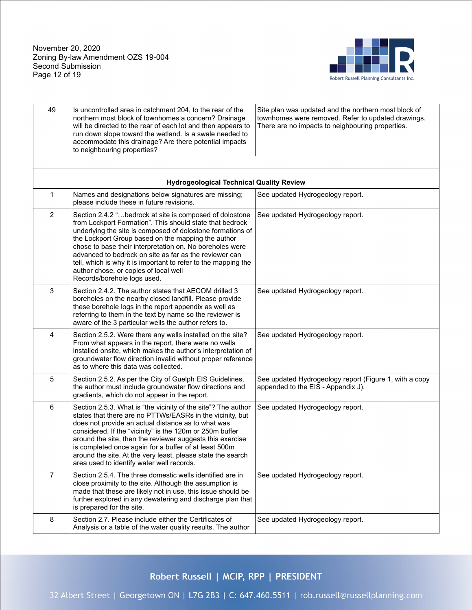November 20, 2020 Zoning By-law Amendment OZS 19-004 Second Submission Page 12 of 19



| 49             | Is uncontrolled area in catchment 204, to the rear of the<br>northern most block of townhomes a concern? Drainage<br>will be directed to the rear of each lot and then appears to<br>run down slope toward the wetland. Is a swale needed to<br>accommodate this drainage? Are there potential impacts<br>to neighbouring properties?                                                                                                                                                                   | Site plan was updated and the northern most block of<br>townhomes were removed. Refer to updated drawings.<br>There are no impacts to neighbouring properties. |
|----------------|---------------------------------------------------------------------------------------------------------------------------------------------------------------------------------------------------------------------------------------------------------------------------------------------------------------------------------------------------------------------------------------------------------------------------------------------------------------------------------------------------------|----------------------------------------------------------------------------------------------------------------------------------------------------------------|
|                |                                                                                                                                                                                                                                                                                                                                                                                                                                                                                                         |                                                                                                                                                                |
|                | <b>Hydrogeological Technical Quality Review</b>                                                                                                                                                                                                                                                                                                                                                                                                                                                         |                                                                                                                                                                |
| 1              | Names and designations below signatures are missing;<br>please include these in future revisions.                                                                                                                                                                                                                                                                                                                                                                                                       | See updated Hydrogeology report.                                                                                                                               |
| $\overline{2}$ | Section 2.4.2 "bedrock at site is composed of dolostone<br>from Lockport Formation". This should state that bedrock<br>underlying the site is composed of dolostone formations of<br>the Lockport Group based on the mapping the author<br>chose to base their interpretation on. No boreholes were<br>advanced to bedrock on site as far as the reviewer can<br>tell, which is why it is important to refer to the mapping the<br>author chose, or copies of local well<br>Records/borehole logs used. | See updated Hydrogeology report.                                                                                                                               |
| 3              | Section 2.4.2. The author states that AECOM drilled 3<br>boreholes on the nearby closed landfill. Please provide<br>these borehole logs in the report appendix as well as<br>referring to them in the text by name so the reviewer is<br>aware of the 3 particular wells the author refers to.                                                                                                                                                                                                          | See updated Hydrogeology report.                                                                                                                               |
| 4              | Section 2.5.2. Were there any wells installed on the site?<br>From what appears in the report, there were no wells<br>installed onsite, which makes the author's interpretation of<br>groundwater flow direction invalid without proper reference<br>as to where this data was collected.                                                                                                                                                                                                               | See updated Hydrogeology report.                                                                                                                               |
| 5              | Section 2.5.2. As per the City of Guelph EIS Guidelines,<br>the author must include groundwater flow directions and<br>gradients, which do not appear in the report.                                                                                                                                                                                                                                                                                                                                    | See updated Hydrogeology report (Figure 1, with a copy<br>appended to the EIS - Appendix J).                                                                   |
| 6              | Section 2.5.3. What is "the vicinity of the site"? The author<br>states that there are no PTTWs/EASRs in the vicinity, but<br>does not provide an actual distance as to what was<br>considered. If the "vicinity" is the 120m or 250m buffer<br>around the site, then the reviewer suggests this exercise<br>is completed once again for a buffer of at least 500m<br>around the site. At the very least, please state the search<br>area used to identify water well records.                          | See updated Hydrogeology report.                                                                                                                               |
| $\overline{7}$ | Section 2.5.4. The three domestic wells identified are in<br>close proximity to the site. Although the assumption is<br>made that these are likely not in use, this issue should be<br>further explored in any dewatering and discharge plan that<br>is prepared for the site.                                                                                                                                                                                                                          | See updated Hydrogeology report.                                                                                                                               |
| 8              | Section 2.7. Please include either the Certificates of<br>Analysis or a table of the water quality results. The author                                                                                                                                                                                                                                                                                                                                                                                  | See updated Hydrogeology report.                                                                                                                               |

Robert Russell | MCIP, RPP | PRESIDENT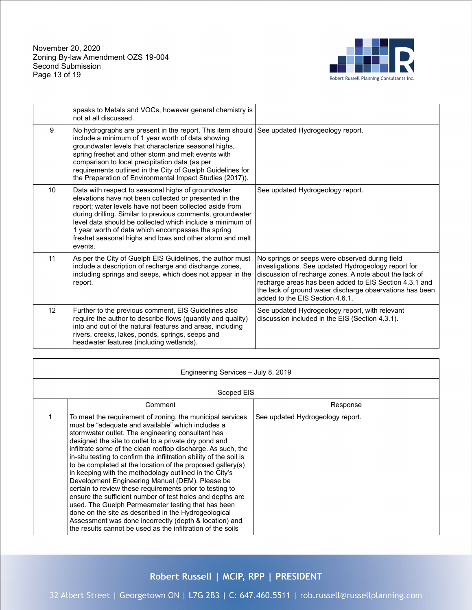November 20, 2020 Zoning By-law Amendment OZS 19-004 Second Submission Page 13 of 19



|                 | speaks to Metals and VOCs, however general chemistry is<br>not at all discussed.                                                                                                                                                                                                                                                                                                                                               |                                                                                                                                                                                                                                                                                                                          |
|-----------------|--------------------------------------------------------------------------------------------------------------------------------------------------------------------------------------------------------------------------------------------------------------------------------------------------------------------------------------------------------------------------------------------------------------------------------|--------------------------------------------------------------------------------------------------------------------------------------------------------------------------------------------------------------------------------------------------------------------------------------------------------------------------|
| 9               | No hydrographs are present in the report. This item should<br>include a minimum of 1 year worth of data showing<br>groundwater levels that characterize seasonal highs,<br>spring freshet and other storm and melt events with<br>comparison to local precipitation data (as per<br>requirements outlined in the City of Guelph Guidelines for<br>the Preparation of Environmental Impact Studies (2017)).                     | See updated Hydrogeology report.                                                                                                                                                                                                                                                                                         |
| 10 <sup>°</sup> | Data with respect to seasonal highs of groundwater<br>elevations have not been collected or presented in the<br>report; water levels have not been collected aside from<br>during drilling. Similar to previous comments, groundwater<br>level data should be collected which include a minimum of<br>1 year worth of data which encompasses the spring<br>freshet seasonal highs and lows and other storm and melt<br>events. | See updated Hydrogeology report.                                                                                                                                                                                                                                                                                         |
| 11              | As per the City of Guelph EIS Guidelines, the author must<br>include a description of recharge and discharge zones,<br>including springs and seeps, which does not appear in the<br>report.                                                                                                                                                                                                                                    | No springs or seeps were observed during field<br>investigations. See updated Hydrogeology report for<br>discussion of recharge zones. A note about the lack of<br>recharge areas has been added to EIS Section 4.3.1 and<br>the lack of ground water discharge observations has been<br>added to the FIS Section 4.6.1. |
| 12 <sup>2</sup> | Further to the previous comment, EIS Guidelines also<br>require the author to describe flows (quantity and quality)<br>into and out of the natural features and areas, including<br>rivers, creeks, lakes, ponds, springs, seeps and<br>headwater features (including wetlands).                                                                                                                                               | See updated Hydrogeology report, with relevant<br>discussion included in the EIS (Section 4.3.1).                                                                                                                                                                                                                        |

| Engineering Services - July 8, 2019 |                                                                                                                                                                                                                                                                                                                                                                                                                                                                                                                                                                                                                                                                                                                                                                                                                                                                                                               |                                  |  |
|-------------------------------------|---------------------------------------------------------------------------------------------------------------------------------------------------------------------------------------------------------------------------------------------------------------------------------------------------------------------------------------------------------------------------------------------------------------------------------------------------------------------------------------------------------------------------------------------------------------------------------------------------------------------------------------------------------------------------------------------------------------------------------------------------------------------------------------------------------------------------------------------------------------------------------------------------------------|----------------------------------|--|
|                                     | Scoped EIS                                                                                                                                                                                                                                                                                                                                                                                                                                                                                                                                                                                                                                                                                                                                                                                                                                                                                                    |                                  |  |
|                                     | Comment                                                                                                                                                                                                                                                                                                                                                                                                                                                                                                                                                                                                                                                                                                                                                                                                                                                                                                       | Response                         |  |
|                                     | To meet the requirement of zoning, the municipal services<br>must be "adequate and available" which includes a<br>stormwater outlet. The engineering consultant has<br>designed the site to outlet to a private dry pond and<br>infiltrate some of the clean rooftop discharge. As such, the<br>in-situ testing to confirm the infiltration ability of the soil is<br>to be completed at the location of the proposed gallery(s)<br>in keeping with the methodology outlined in the City's<br>Development Engineering Manual (DEM). Please be<br>certain to review these requirements prior to testing to<br>ensure the sufficient number of test holes and depths are<br>used. The Guelph Permeameter testing that has been<br>done on the site as described in the Hydrogeological<br>Assessment was done incorrectly (depth & location) and<br>the results cannot be used as the infiltration of the soils | See updated Hydrogeology report. |  |

Robert Russell | MCIP, RPP | PRESIDENT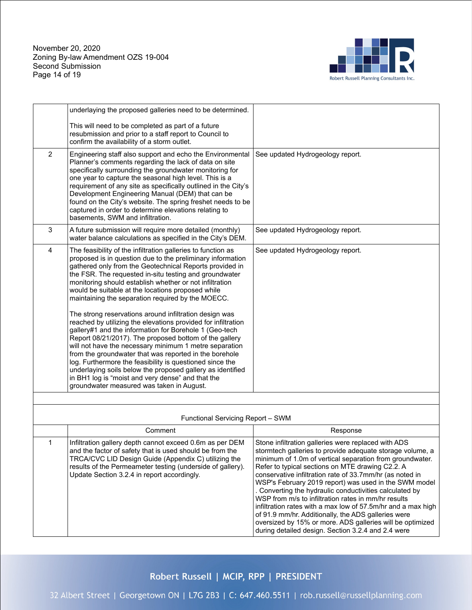November 20, 2020 Zoning By-law Amendment OZS 19-004 Second Submission Page 14 of 19



oversized by 15% or more. ADS galleries will be optimized during detailed design. Section 3.2.4 and 2.4 were

|                | underlaying the proposed galleries need to be determined.                                                                                                                                                                                                                                                                                                                                                                                                                                                                                                                                                                                                                                                                                                                                                                                                                                                                                                                                                           |                                                                                                                                                                                                                                                                                                                                                                                                                                                                                                                                                                                                |
|----------------|---------------------------------------------------------------------------------------------------------------------------------------------------------------------------------------------------------------------------------------------------------------------------------------------------------------------------------------------------------------------------------------------------------------------------------------------------------------------------------------------------------------------------------------------------------------------------------------------------------------------------------------------------------------------------------------------------------------------------------------------------------------------------------------------------------------------------------------------------------------------------------------------------------------------------------------------------------------------------------------------------------------------|------------------------------------------------------------------------------------------------------------------------------------------------------------------------------------------------------------------------------------------------------------------------------------------------------------------------------------------------------------------------------------------------------------------------------------------------------------------------------------------------------------------------------------------------------------------------------------------------|
|                | This will need to be completed as part of a future<br>resubmission and prior to a staff report to Council to<br>confirm the availability of a storm outlet.                                                                                                                                                                                                                                                                                                                                                                                                                                                                                                                                                                                                                                                                                                                                                                                                                                                         |                                                                                                                                                                                                                                                                                                                                                                                                                                                                                                                                                                                                |
| $\overline{2}$ | Engineering staff also support and echo the Environmental<br>Planner's comments regarding the lack of data on site<br>specifically surrounding the groundwater monitoring for<br>one year to capture the seasonal high level. This is a<br>requirement of any site as specifically outlined in the City's<br>Development Engineering Manual (DEM) that can be<br>found on the City's website. The spring freshet needs to be<br>captured in order to determine elevations relating to<br>basements, SWM and infiltration.                                                                                                                                                                                                                                                                                                                                                                                                                                                                                           | See updated Hydrogeology report.                                                                                                                                                                                                                                                                                                                                                                                                                                                                                                                                                               |
| 3              | A future submission will require more detailed (monthly)<br>water balance calculations as specified in the City's DEM.                                                                                                                                                                                                                                                                                                                                                                                                                                                                                                                                                                                                                                                                                                                                                                                                                                                                                              | See updated Hydrogeology report.                                                                                                                                                                                                                                                                                                                                                                                                                                                                                                                                                               |
| 4              | The feasibility of the infiltration galleries to function as<br>proposed is in question due to the preliminary information<br>gathered only from the Geotechnical Reports provided in<br>the FSR. The requested in-situ testing and groundwater<br>monitoring should establish whether or not infiltration<br>would be suitable at the locations proposed while<br>maintaining the separation required by the MOECC.<br>The strong reservations around infiltration design was<br>reached by utilizing the elevations provided for infiltration<br>gallery#1 and the information for Borehole 1 (Geo-tech<br>Report 08/21/2017). The proposed bottom of the gallery<br>will not have the necessary minimum 1 metre separation<br>from the groundwater that was reported in the borehole<br>log. Furthermore the feasibility is questioned since the<br>underlaying soils below the proposed gallery as identified<br>in BH1 log is "moist and very dense" and that the<br>groundwater measured was taken in August. | See updated Hydrogeology report.                                                                                                                                                                                                                                                                                                                                                                                                                                                                                                                                                               |
|                | Functional Servicing Report - SWM                                                                                                                                                                                                                                                                                                                                                                                                                                                                                                                                                                                                                                                                                                                                                                                                                                                                                                                                                                                   |                                                                                                                                                                                                                                                                                                                                                                                                                                                                                                                                                                                                |
|                | Comment                                                                                                                                                                                                                                                                                                                                                                                                                                                                                                                                                                                                                                                                                                                                                                                                                                                                                                                                                                                                             | Response                                                                                                                                                                                                                                                                                                                                                                                                                                                                                                                                                                                       |
| 1              | Infiltration gallery depth cannot exceed 0.6m as per DEM<br>and the factor of safety that is used should be from the<br>TRCA/CVC LID Design Guide (Appendix C) utilizing the<br>results of the Permeameter testing (underside of gallery).<br>Update Section 3.2.4 in report accordingly.                                                                                                                                                                                                                                                                                                                                                                                                                                                                                                                                                                                                                                                                                                                           | Stone infiltration galleries were replaced with ADS<br>stormtech galleries to provide adequate storage volume, a<br>minimum of 1.0m of vertical separation from groundwater.<br>Refer to typical sections on MTE drawing C2.2. A<br>conservative infiltration rate of 33.7mm/hr (as noted in<br>WSP's February 2019 report) was used in the SWM model<br>. Converting the hydraulic conductivities calculated by<br>WSP from m/s to infiltration rates in mm/hr results<br>infiltration rates with a max low of 57.5m/hr and a max high<br>of 91.9 mm/hr. Additionally, the ADS galleries were |

## Robert Russell | MCIP, RPP | PRESIDENT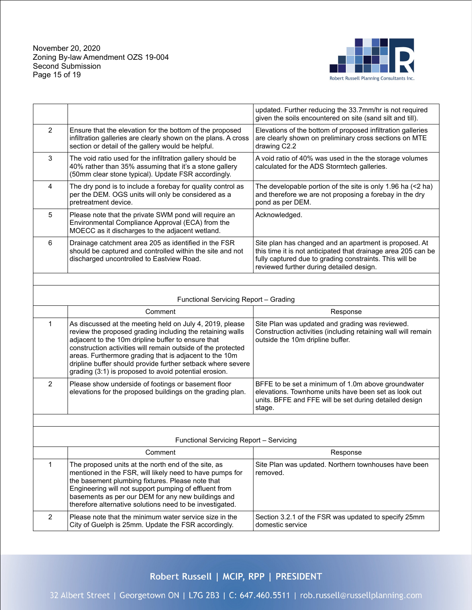November 20, 2020 Zoning By-law Amendment OZS 19-004 Second Submission Page 15 of 19



|               |                                                                                                                                                                                  | updated. Further reducing the 33.7mm/hr is not required<br>given the soils encountered on site (sand silt and till).                                                                                                           |
|---------------|----------------------------------------------------------------------------------------------------------------------------------------------------------------------------------|--------------------------------------------------------------------------------------------------------------------------------------------------------------------------------------------------------------------------------|
| $\mathcal{P}$ | Ensure that the elevation for the bottom of the proposed<br>infiltration galleries are clearly shown on the plans. A cross<br>section or detail of the gallery would be helpful. | Elevations of the bottom of proposed infiltration galleries<br>are clearly shown on preliminary cross sections on MTE<br>drawing C2.2                                                                                          |
| 3             | The void ratio used for the infiltration gallery should be<br>40% rather than 35% assuming that it's a stone gallery<br>(50mm clear stone typical). Update FSR accordingly.      | A void ratio of 40% was used in the the storage volumes<br>calculated for the ADS Stormtech galleries.                                                                                                                         |
| 4             | The dry pond is to include a forebay for quality control as<br>per the DEM. OGS units will only be considered as a<br>pretreatment device.                                       | The developable portion of the site is only 1.96 ha $(2 \text{ ha})$<br>and therefore we are not proposing a forebay in the dry<br>pond as per DEM.                                                                            |
| 5             | Please note that the private SWM pond will require an<br>Environmental Compliance Approval (ECA) from the<br>MOECC as it discharges to the adjacent wetland.                     | Acknowledged.                                                                                                                                                                                                                  |
| 6             | Drainage catchment area 205 as identified in the FSR<br>should be captured and controlled within the site and not<br>discharged uncontrolled to Eastview Road.                   | Site plan has changed and an apartment is proposed. At<br>this time it is not anticipated that drainage area 205 can be<br>fully captured due to grading constraints. This will be<br>reviewed further during detailed design. |
|               |                                                                                                                                                                                  |                                                                                                                                                                                                                                |
|               |                                                                                                                                                                                  |                                                                                                                                                                                                                                |

#### Functional Servicing Report – Grading

|   | Comment                                                                                                                                                                                                                                                                                                                                                                                                                       | Response                                                                                                                                                                       |
|---|-------------------------------------------------------------------------------------------------------------------------------------------------------------------------------------------------------------------------------------------------------------------------------------------------------------------------------------------------------------------------------------------------------------------------------|--------------------------------------------------------------------------------------------------------------------------------------------------------------------------------|
|   | As discussed at the meeting held on July 4, 2019, please<br>review the proposed grading including the retaining walls<br>adjacent to the 10m dripline buffer to ensure that<br>construction activities will remain outside of the protected<br>areas. Furthermore grading that is adjacent to the 10m<br>dripline buffer should provide further setback where severe<br>grading (3:1) is proposed to avoid potential erosion. | Site Plan was updated and grading was reviewed.<br>Construction activities (including retaining wall will remain<br>outside the 10m dripline buffer.                           |
| 2 | Please show underside of footings or basement floor<br>elevations for the proposed buildings on the grading plan.                                                                                                                                                                                                                                                                                                             | BFFE to be set a minimum of 1.0m above groundwater<br>elevations. Townhome units have been set as look out<br>units. BFFE and FFE will be set during detailed design<br>stage. |
|   |                                                                                                                                                                                                                                                                                                                                                                                                                               |                                                                                                                                                                                |

| Functional Servicing Report - Servicing |                                                                                                                                                                                                                                                                                                                                                |                                                                          |
|-----------------------------------------|------------------------------------------------------------------------------------------------------------------------------------------------------------------------------------------------------------------------------------------------------------------------------------------------------------------------------------------------|--------------------------------------------------------------------------|
|                                         | Comment                                                                                                                                                                                                                                                                                                                                        | Response                                                                 |
|                                         | The proposed units at the north end of the site, as<br>mentioned in the FSR, will likely need to have pumps for<br>the basement plumbing fixtures. Please note that<br>Engineering will not support pumping of effluent from<br>basements as per our DEM for any new buildings and<br>therefore alternative solutions need to be investigated. | Site Plan was updated. Northern townhouses have been<br>removed.         |
|                                         | Please note that the minimum water service size in the<br>City of Guelph is 25mm. Update the FSR accordingly.                                                                                                                                                                                                                                  | Section 3.2.1 of the FSR was updated to specify 25mm<br>domestic service |

Robert Russell | MCIP, RPP | PRESIDENT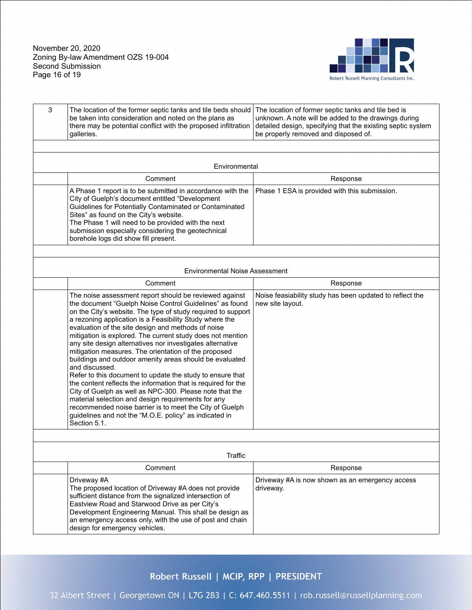November 20, 2020 Zoning By-law Amendment OZS 19-004 Second Submission Page 16 of 19



| 3 | The location of the former septic tanks and tile beds should<br>be taken into consideration and noted on the plans as<br>there may be potential conflict with the proposed infiltration<br>galleries.                                                                                                                                                                                                                                                                                                                                                                                                                                                                                                                                                                                                                                                                                                                                                  | The location of former septic tanks and tile bed is<br>unknown. A note will be added to the drawings during<br>detailed design, specifying that the existing septic system<br>be properly removed and disposed of. |
|---|--------------------------------------------------------------------------------------------------------------------------------------------------------------------------------------------------------------------------------------------------------------------------------------------------------------------------------------------------------------------------------------------------------------------------------------------------------------------------------------------------------------------------------------------------------------------------------------------------------------------------------------------------------------------------------------------------------------------------------------------------------------------------------------------------------------------------------------------------------------------------------------------------------------------------------------------------------|--------------------------------------------------------------------------------------------------------------------------------------------------------------------------------------------------------------------|
|   |                                                                                                                                                                                                                                                                                                                                                                                                                                                                                                                                                                                                                                                                                                                                                                                                                                                                                                                                                        |                                                                                                                                                                                                                    |
|   | Environmental                                                                                                                                                                                                                                                                                                                                                                                                                                                                                                                                                                                                                                                                                                                                                                                                                                                                                                                                          |                                                                                                                                                                                                                    |
|   | Comment                                                                                                                                                                                                                                                                                                                                                                                                                                                                                                                                                                                                                                                                                                                                                                                                                                                                                                                                                | Response                                                                                                                                                                                                           |
|   | A Phase 1 report is to be submitted in accordance with the<br>City of Guelph's document entitled "Development<br>Guidelines for Potentially Contaminated or Contaminated<br>Sites" as found on the City's website.<br>The Phase 1 will need to be provided with the next<br>submission especially considering the geotechnical<br>borehole logs did show fill present.                                                                                                                                                                                                                                                                                                                                                                                                                                                                                                                                                                                 | Phase 1 ESA is provided with this submission.                                                                                                                                                                      |
|   |                                                                                                                                                                                                                                                                                                                                                                                                                                                                                                                                                                                                                                                                                                                                                                                                                                                                                                                                                        |                                                                                                                                                                                                                    |
|   | <b>Environmental Noise Assessment</b>                                                                                                                                                                                                                                                                                                                                                                                                                                                                                                                                                                                                                                                                                                                                                                                                                                                                                                                  |                                                                                                                                                                                                                    |
|   | Comment                                                                                                                                                                                                                                                                                                                                                                                                                                                                                                                                                                                                                                                                                                                                                                                                                                                                                                                                                | Response                                                                                                                                                                                                           |
|   | The noise assessment report should be reviewed against<br>the document "Guelph Noise Control Guidelines" as found<br>on the City's website. The type of study required to support<br>a rezoning application is a Feasibility Study where the<br>evaluation of the site design and methods of noise<br>mitigation is explored. The current study does not mention<br>any site design alternatives nor investigates alternative<br>mitigation measures. The orientation of the proposed<br>buildings and outdoor amenity areas should be evaluated<br>and discussed.<br>Refer to this document to update the study to ensure that<br>the content reflects the information that is required for the<br>City of Guelph as well as NPC-300. Please note that the<br>material selection and design requirements for any<br>recommended noise barrier is to meet the City of Guelph<br>guidelines and not the "M.O.E. policy" as indicated in<br>Section 5.1. | Noise feasiability study has been updated to reflect the<br>new site layout.                                                                                                                                       |
|   |                                                                                                                                                                                                                                                                                                                                                                                                                                                                                                                                                                                                                                                                                                                                                                                                                                                                                                                                                        |                                                                                                                                                                                                                    |
|   | Traffic                                                                                                                                                                                                                                                                                                                                                                                                                                                                                                                                                                                                                                                                                                                                                                                                                                                                                                                                                |                                                                                                                                                                                                                    |
|   | Comment                                                                                                                                                                                                                                                                                                                                                                                                                                                                                                                                                                                                                                                                                                                                                                                                                                                                                                                                                | Response                                                                                                                                                                                                           |
|   | Driveway #A<br>The proposed location of Driveway #A does not provide<br>sufficient distance from the signalized intersection of<br>Eastview Road and Starwood Drive as per City's<br>Development Engineering Manual. This shall be design as<br>an emergency access only, with the use of post and chain<br>design for emergency vehicles.                                                                                                                                                                                                                                                                                                                                                                                                                                                                                                                                                                                                             | Driveway #A is now shown as an emergency access<br>driveway.                                                                                                                                                       |

# Robert Russell | MCIP, RPP | PRESIDENT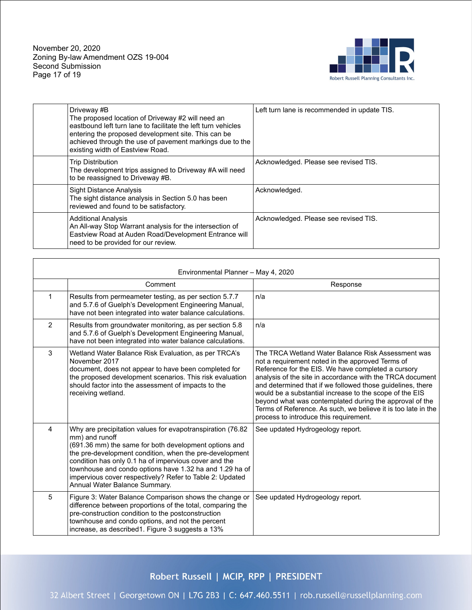November 20, 2020 Zoning By-law Amendment OZS 19-004 Second Submission Page 17 of 19



| Driveway #B<br>The proposed location of Driveway #2 will need an<br>eastbound left turn lane to facilitate the left turn vehicles<br>entering the proposed development site. This can be<br>achieved through the use of pavement markings due to the<br>existing width of Eastview Road. | Left turn lane is recommended in update TIS. |
|------------------------------------------------------------------------------------------------------------------------------------------------------------------------------------------------------------------------------------------------------------------------------------------|----------------------------------------------|
| <b>Trip Distribution</b><br>The development trips assigned to Driveway #A will need<br>to be reassigned to Driveway #B.                                                                                                                                                                  | Acknowledged. Please see revised TIS.        |
| <b>Sight Distance Analysis</b><br>The sight distance analysis in Section 5.0 has been<br>reviewed and found to be satisfactory.                                                                                                                                                          | Acknowledged.                                |
| <b>Additional Analysis</b><br>An All-way Stop Warrant analysis for the intersection of<br>Eastview Road at Auden Road/Development Entrance will<br>need to be provided for our review.                                                                                                   | Acknowledged. Please see revised TIS.        |

| Environmental Planner - May 4, 2020 |                                                                                                                                                                                                                                                                                                                                                                                                                   |                                                                                                                                                                                                                                                                                                                                                                                                                                                                                                                          |
|-------------------------------------|-------------------------------------------------------------------------------------------------------------------------------------------------------------------------------------------------------------------------------------------------------------------------------------------------------------------------------------------------------------------------------------------------------------------|--------------------------------------------------------------------------------------------------------------------------------------------------------------------------------------------------------------------------------------------------------------------------------------------------------------------------------------------------------------------------------------------------------------------------------------------------------------------------------------------------------------------------|
|                                     | Comment                                                                                                                                                                                                                                                                                                                                                                                                           | Response                                                                                                                                                                                                                                                                                                                                                                                                                                                                                                                 |
| $\mathbf{1}$                        | Results from permeameter testing, as per section 5.7.7<br>and 5.7.6 of Guelph's Development Engineering Manual,<br>have not been integrated into water balance calculations.                                                                                                                                                                                                                                      | n/a                                                                                                                                                                                                                                                                                                                                                                                                                                                                                                                      |
| 2                                   | Results from groundwater monitoring, as per section 5.8<br>and 5.7.6 of Guelph's Development Engineering Manual,<br>have not been integrated into water balance calculations.                                                                                                                                                                                                                                     | n/a                                                                                                                                                                                                                                                                                                                                                                                                                                                                                                                      |
| 3                                   | Wetland Water Balance Risk Evaluation, as per TRCA's<br>November 2017<br>document, does not appear to have been completed for<br>the proposed development scenarios. This risk evaluation<br>should factor into the assessment of impacts to the<br>receiving wetland.                                                                                                                                            | The TRCA Wetland Water Balance Risk Assessment was<br>not a requirement noted in the approved Terms of<br>Reference for the EIS. We have completed a cursory<br>analysis of the site in accordance with the TRCA document<br>and determined that if we followed those guidelines, there<br>would be a substantial increase to the scope of the EIS<br>beyond what was contemplated during the approval of the<br>Terms of Reference. As such, we believe it is too late in the<br>process to introduce this requirement. |
| 4                                   | Why are precipitation values for evapotranspiration (76.82<br>mm) and runoff<br>(691.36 mm) the same for both development options and<br>the pre-development condition, when the pre-development<br>condition has only 0.1 ha of impervious cover and the<br>townhouse and condo options have 1.32 ha and 1.29 ha of<br>impervious cover respectively? Refer to Table 2: Updated<br>Annual Water Balance Summary. | See updated Hydrogeology report.                                                                                                                                                                                                                                                                                                                                                                                                                                                                                         |
| 5                                   | Figure 3: Water Balance Comparison shows the change or<br>difference between proportions of the total, comparing the<br>pre-construction condition to the postconstruction<br>townhouse and condo options, and not the percent<br>increase, as described1. Figure 3 suggests a 13%                                                                                                                                | See updated Hydrogeology report.                                                                                                                                                                                                                                                                                                                                                                                                                                                                                         |

Robert Russell | MCIP, RPP | PRESIDENT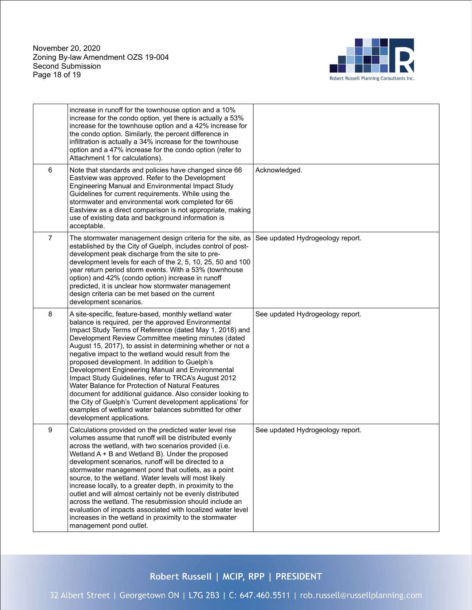November 20, 2020 Zoning By-law Amendment OZS 19-004 Second Submission Page 18 of 19



|                | increase in runoff for the townhouse option and a 10%<br>increase for the condo option, yet there is actually a 53%<br>increase for the townhouse option and a 42% increase for<br>the condo option. Similarly, the percent difference in<br>infiltration is actually a 34% increase for the townhouse<br>option and a 47% increase for the condo option (refer to<br>Attachment 1 for calculations).                                                                                                                                                                                                                                                                                                                                                                                      |                                  |
|----------------|--------------------------------------------------------------------------------------------------------------------------------------------------------------------------------------------------------------------------------------------------------------------------------------------------------------------------------------------------------------------------------------------------------------------------------------------------------------------------------------------------------------------------------------------------------------------------------------------------------------------------------------------------------------------------------------------------------------------------------------------------------------------------------------------|----------------------------------|
| 6              | Note that standards and policies have changed since 66<br>Eastview was approved. Refer to the Development<br>Engineering Manual and Environmental Impact Study<br>Guidelines for current requirements. While using the<br>stormwater and environmental work completed for 66<br>Eastview as a direct comparison is not appropriate, making<br>use of existing data and background information is<br>acceptable.                                                                                                                                                                                                                                                                                                                                                                            | Acknowledged.                    |
| $\overline{7}$ | The stormwater management design criteria for the site, as<br>established by the City of Guelph, includes control of post-<br>development peak discharge from the site to pre-<br>development levels for each of the 2, 5, 10, 25, 50 and 100<br>year return period storm events. With a 53% (townhouse<br>option) and 42% (condo option) increase in runoff<br>predicted, it is unclear how stormwater management<br>design criteria can be met based on the current<br>development scenarios.                                                                                                                                                                                                                                                                                            | See updated Hydrogeology report. |
| 8              | A site-specific, feature-based, monthly wetland water<br>balance is required, per the approved Environmental<br>Impact Study Terms of Reference (dated May 1, 2018) and<br>Development Review Committee meeting minutes (dated<br>August 15, 2017), to assist in determining whether or not a<br>negative impact to the wetland would result from the<br>proposed development. In addition to Guelph's<br>Development Engineering Manual and Environmental<br>Impact Study Guidelines, refer to TRCA's August 2012<br>Water Balance for Protection of Natural Features<br>document for additional guidance. Also consider looking to<br>the City of Guelph's 'Current development applications' for<br>examples of wetland water balances submitted for other<br>development applications. | See updated Hydrogeology report. |
| 9              | Calculations provided on the predicted water level rise<br>volumes assume that runoff will be distributed evenly<br>across the wetland, with two scenarios provided (i.e.<br>Wetland A + B and Wetland B). Under the proposed<br>development scenarios, runoff will be directed to a<br>stormwater management pond that outlets, as a point<br>source, to the wetland. Water levels will most likely<br>increase locally, to a greater depth, in proximity to the<br>outlet and will almost certainly not be evenly distributed<br>across the wetland. The resubmission should include an<br>evaluation of impacts associated with localized water level<br>increases in the wetland in proximity to the stormwater<br>management pond outlet.                                             | See updated Hydrogeology report. |

Robert Russell | MCIP, RPP | PRESIDENT